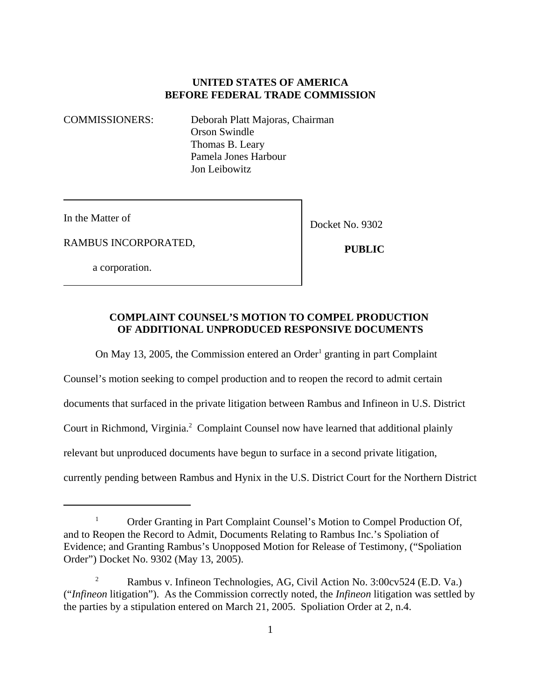# **UNITED STATES OF AMERICA BEFORE FEDERAL TRADE COMMISSION**

COMMISSIONERS: Deborah Platt Majoras, Chairman Orson Swindle Thomas B. Leary Pamela Jones Harbour Jon Leibowitz

In the Matter of

RAMBUS INCORPORATED,

Docket No. 9302

 **PUBLIC**

a corporation.

### **COMPLAINT COUNSEL'S MOTION TO COMPEL PRODUCTION OF ADDITIONAL UNPRODUCED RESPONSIVE DOCUMENTS**

On May 13, 2005, the Commission entered an Order<sup>1</sup> granting in part Complaint

Counsel's motion seeking to compel production and to reopen the record to admit certain documents that surfaced in the private litigation between Rambus and Infineon in U.S. District Court in Richmond, Virginia.<sup>2</sup> Complaint Counsel now have learned that additional plainly relevant but unproduced documents have begun to surface in a second private litigation, currently pending between Rambus and Hynix in the U.S. District Court for the Northern District

<sup>&</sup>lt;sup>1</sup> Order Granting in Part Complaint Counsel's Motion to Compel Production Of, and to Reopen the Record to Admit, Documents Relating to Rambus Inc.'s Spoliation of Evidence; and Granting Rambus's Unopposed Motion for Release of Testimony, ("Spoliation Order") Docket No. 9302 (May 13, 2005).

<sup>&</sup>lt;sup>2</sup> Rambus v. Infineon Technologies, AG, Civil Action No. 3:00cv524 (E.D. Va.) ("*Infineon* litigation"). As the Commission correctly noted, the *Infineon* litigation was settled by the parties by a stipulation entered on March 21, 2005. Spoliation Order at 2, n.4.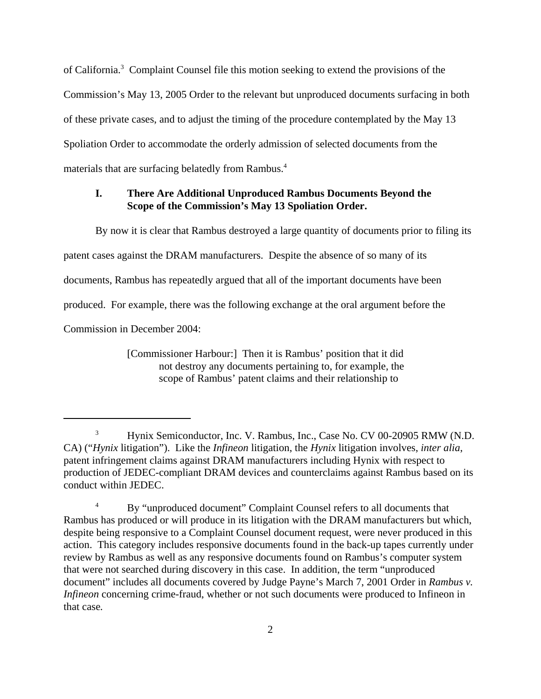of California.<sup>3</sup> Complaint Counsel file this motion seeking to extend the provisions of the Commission's May 13, 2005 Order to the relevant but unproduced documents surfacing in both of these private cases, and to adjust the timing of the procedure contemplated by the May 13 Spoliation Order to accommodate the orderly admission of selected documents from the materials that are surfacing belatedly from Rambus.<sup>4</sup>

### **I. There Are Additional Unproduced Rambus Documents Beyond the Scope of the Commission's May 13 Spoliation Order.**

By now it is clear that Rambus destroyed a large quantity of documents prior to filing its patent cases against the DRAM manufacturers. Despite the absence of so many of its documents, Rambus has repeatedly argued that all of the important documents have been produced. For example, there was the following exchange at the oral argument before the Commission in December 2004:

> [Commissioner Harbour:] Then it is Rambus' position that it did not destroy any documents pertaining to, for example, the scope of Rambus' patent claims and their relationship to

<sup>&</sup>lt;sup>3</sup> Hynix Semiconductor, Inc. V. Rambus, Inc., Case No. CV 00-20905 RMW (N.D. CA) ("*Hynix* litigation"). Like the *Infineon* litigation, the *Hynix* litigation involves, *inter alia*, patent infringement claims against DRAM manufacturers including Hynix with respect to production of JEDEC-compliant DRAM devices and counterclaims against Rambus based on its conduct within JEDEC.

<sup>&</sup>lt;sup>4</sup> By "unproduced document" Complaint Counsel refers to all documents that Rambus has produced or will produce in its litigation with the DRAM manufacturers but which, despite being responsive to a Complaint Counsel document request, were never produced in this action. This category includes responsive documents found in the back-up tapes currently under review by Rambus as well as any responsive documents found on Rambus's computer system that were not searched during discovery in this case. In addition, the term "unproduced document" includes all documents covered by Judge Payne's March 7, 2001 Order in *Rambus v. Infineon* concerning crime-fraud, whether or not such documents were produced to Infineon in that case*.*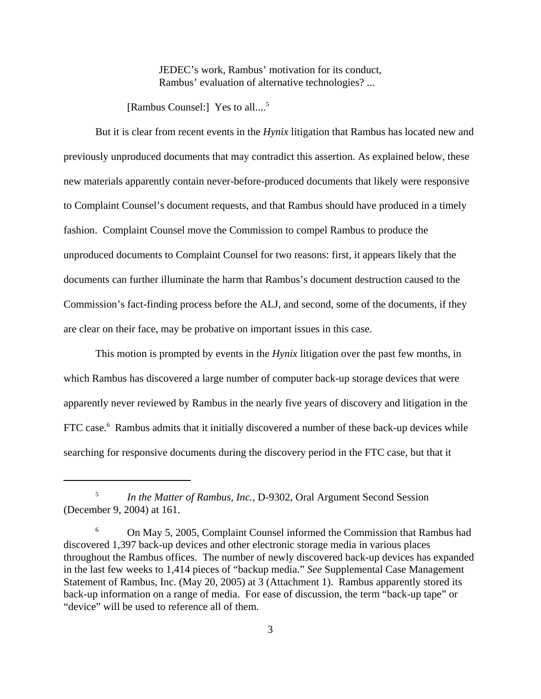JEDEC's work, Rambus' motivation for its conduct, Rambus' evaluation of alternative technologies? ...

[Rambus Counsel:] Yes to all....<sup>5</sup>

But it is clear from recent events in the *Hynix* litigation that Rambus has located new and previously unproduced documents that may contradict this assertion. As explained below, these new materials apparently contain never-before-produced documents that likely were responsive to Complaint Counsel's document requests, and that Rambus should have produced in a timely fashion. Complaint Counsel move the Commission to compel Rambus to produce the unproduced documents to Complaint Counsel for two reasons: first, it appears likely that the documents can further illuminate the harm that Rambus's document destruction caused to the Commission's fact-finding process before the ALJ, and second, some of the documents, if they are clear on their face, may be probative on important issues in this case.

This motion is prompted by events in the *Hynix* litigation over the past few months, in which Rambus has discovered a large number of computer back-up storage devices that were apparently never reviewed by Rambus in the nearly five years of discovery and litigation in the FTC case.<sup>6</sup> Rambus admits that it initially discovered a number of these back-up devices while searching for responsive documents during the discovery period in the FTC case, but that it

<sup>5</sup> *In the Matter of Rambus, Inc.,* D-9302, Oral Argument Second Session (December 9, 2004) at 161.

<sup>&</sup>lt;sup>6</sup> On May 5, 2005, Complaint Counsel informed the Commission that Rambus had discovered 1,397 back-up devices and other electronic storage media in various places throughout the Rambus offices. The number of newly discovered back-up devices has expanded in the last few weeks to 1,414 pieces of "backup media." *See* Supplemental Case Management Statement of Rambus, Inc. (May 20, 2005) at 3 (Attachment 1). Rambus apparently stored its back-up information on a range of media. For ease of discussion, the term "back-up tape" or "device" will be used to reference all of them.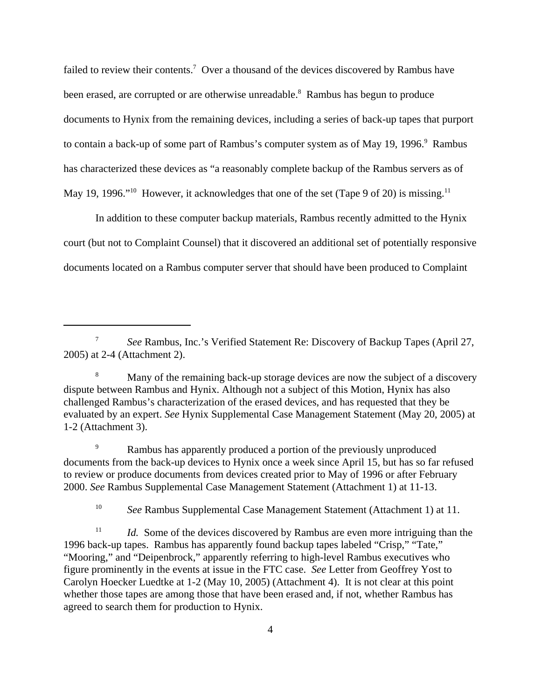failed to review their contents.<sup>7</sup> Over a thousand of the devices discovered by Rambus have been erased, are corrupted or are otherwise unreadable.<sup>8</sup> Rambus has begun to produce documents to Hynix from the remaining devices, including a series of back-up tapes that purport to contain a back-up of some part of Rambus's computer system as of May 19, 1996.<sup>9</sup> Rambus has characterized these devices as "a reasonably complete backup of the Rambus servers as of May 19, 1996."<sup>10</sup> However, it acknowledges that one of the set (Tape 9 of 20) is missing.<sup>11</sup>

In addition to these computer backup materials, Rambus recently admitted to the Hynix court (but not to Complaint Counsel) that it discovered an additional set of potentially responsive documents located on a Rambus computer server that should have been produced to Complaint

<sup>10</sup> *See* Rambus Supplemental Case Management Statement (Attachment 1) at 11.

<sup>7</sup> *See* Rambus, Inc.'s Verified Statement Re: Discovery of Backup Tapes (April 27, 2005) at 2-4 (Attachment 2).

<sup>&</sup>lt;sup>8</sup> Many of the remaining back-up storage devices are now the subject of a discovery dispute between Rambus and Hynix. Although not a subject of this Motion, Hynix has also challenged Rambus's characterization of the erased devices, and has requested that they be evaluated by an expert. *See* Hynix Supplemental Case Management Statement (May 20, 2005) at 1-2 (Attachment 3).

Rambus has apparently produced a portion of the previously unproduced documents from the back-up devices to Hynix once a week since April 15, but has so far refused to review or produce documents from devices created prior to May of 1996 or after February 2000. *See* Rambus Supplemental Case Management Statement (Attachment 1) at 11-13.

<sup>&</sup>lt;sup>11</sup> *Id.* Some of the devices discovered by Rambus are even more intriguing than the 1996 back-up tapes. Rambus has apparently found backup tapes labeled "Crisp," "Tate," "Mooring," and "Deipenbrock," apparently referring to high-level Rambus executives who figure prominently in the events at issue in the FTC case. *See* Letter from Geoffrey Yost to Carolyn Hoecker Luedtke at 1-2 (May 10, 2005) (Attachment 4). It is not clear at this point whether those tapes are among those that have been erased and, if not, whether Rambus has agreed to search them for production to Hynix.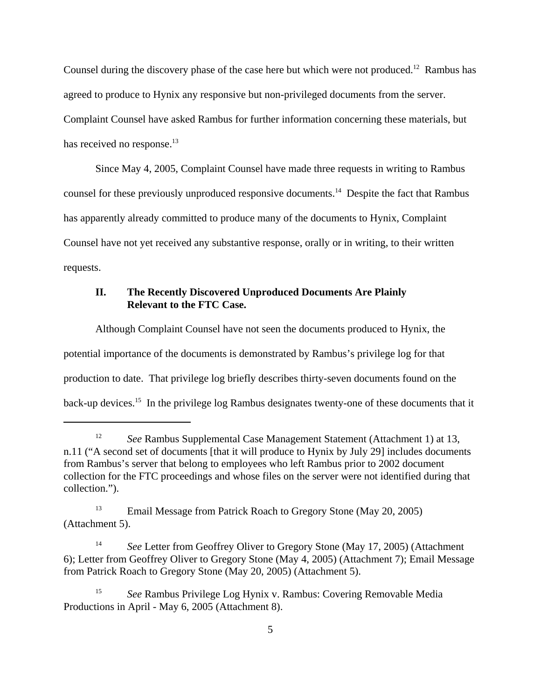Counsel during the discovery phase of the case here but which were not produced.<sup>12</sup> Rambus has agreed to produce to Hynix any responsive but non-privileged documents from the server. Complaint Counsel have asked Rambus for further information concerning these materials, but has received no response.<sup>13</sup>

Since May 4, 2005, Complaint Counsel have made three requests in writing to Rambus counsel for these previously unproduced responsive documents.<sup>14</sup> Despite the fact that Rambus has apparently already committed to produce many of the documents to Hynix, Complaint Counsel have not yet received any substantive response, orally or in writing, to their written requests.

# **II. The Recently Discovered Unproduced Documents Are Plainly Relevant to the FTC Case.**

Although Complaint Counsel have not seen the documents produced to Hynix, the potential importance of the documents is demonstrated by Rambus's privilege log for that production to date. That privilege log briefly describes thirty-seven documents found on the back-up devices.15 In the privilege log Rambus designates twenty-one of these documents that it

<sup>&</sup>lt;sup>12</sup> *See* Rambus Supplemental Case Management Statement (Attachment 1) at 13, n.11 ("A second set of documents [that it will produce to Hynix by July 29] includes documents from Rambus's server that belong to employees who left Rambus prior to 2002 document collection for the FTC proceedings and whose files on the server were not identified during that collection.").

<sup>&</sup>lt;sup>13</sup> Email Message from Patrick Roach to Gregory Stone (May 20, 2005) (Attachment 5).

<sup>&</sup>lt;sup>14</sup> *See* Letter from Geoffrey Oliver to Gregory Stone (May 17, 2005) (Attachment 6); Letter from Geoffrey Oliver to Gregory Stone (May 4, 2005) (Attachment 7); Email Message from Patrick Roach to Gregory Stone (May 20, 2005) (Attachment 5).

<sup>15</sup> *See* Rambus Privilege Log Hynix v. Rambus: Covering Removable Media Productions in April - May 6, 2005 (Attachment 8).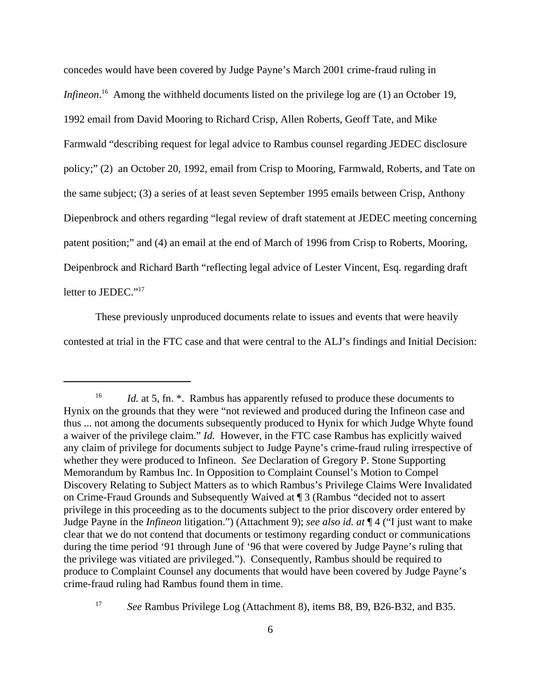concedes would have been covered by Judge Payne's March 2001 crime-fraud ruling in Infineon.<sup>16</sup> Among the withheld documents listed on the privilege log are (1) an October 19, 1992 email from David Mooring to Richard Crisp, Allen Roberts, Geoff Tate, and Mike Farmwald "describing request for legal advice to Rambus counsel regarding JEDEC disclosure policy;" (2) an October 20, 1992, email from Crisp to Mooring, Farmwald, Roberts, and Tate on the same subject; (3) a series of at least seven September 1995 emails between Crisp, Anthony Diepenbrock and others regarding "legal review of draft statement at JEDEC meeting concerning patent position;" and (4) an email at the end of March of 1996 from Crisp to Roberts, Mooring, Deipenbrock and Richard Barth "reflecting legal advice of Lester Vincent, Esq. regarding draft letter to JEDEC."<sup>17</sup>

These previously unproduced documents relate to issues and events that were heavily contested at trial in the FTC case and that were central to the ALJ's findings and Initial Decision:

<sup>&</sup>lt;sup>16</sup> *Id.* at 5, fn. \*. Rambus has apparently refused to produce these documents to Hynix on the grounds that they were "not reviewed and produced during the Infineon case and thus ... not among the documents subsequently produced to Hynix for which Judge Whyte found a waiver of the privilege claim." *Id.* However, in the FTC case Rambus has explicitly waived any claim of privilege for documents subject to Judge Payne's crime-fraud ruling irrespective of whether they were produced to Infineon. *See* Declaration of Gregory P. Stone Supporting Memorandum by Rambus Inc. In Opposition to Complaint Counsel's Motion to Compel Discovery Relating to Subject Matters as to which Rambus's Privilege Claims Were Invalidated on Crime-Fraud Grounds and Subsequently Waived at ¶ 3 (Rambus "decided not to assert privilege in this proceeding as to the documents subject to the prior discovery order entered by Judge Payne in the *Infineon* litigation.") (Attachment 9); *see also id. at* ¶ 4 ("I just want to make clear that we do not contend that documents or testimony regarding conduct or communications during the time period '91 through June of '96 that were covered by Judge Payne's ruling that the privilege was vitiated are privileged."). Consequently, Rambus should be required to produce to Complaint Counsel any documents that would have been covered by Judge Payne's crime-fraud ruling had Rambus found them in time.

<sup>&</sup>lt;sup>17</sup> *See* Rambus Privilege Log (Attachment 8), items B8, B9, B26-B32, and B35.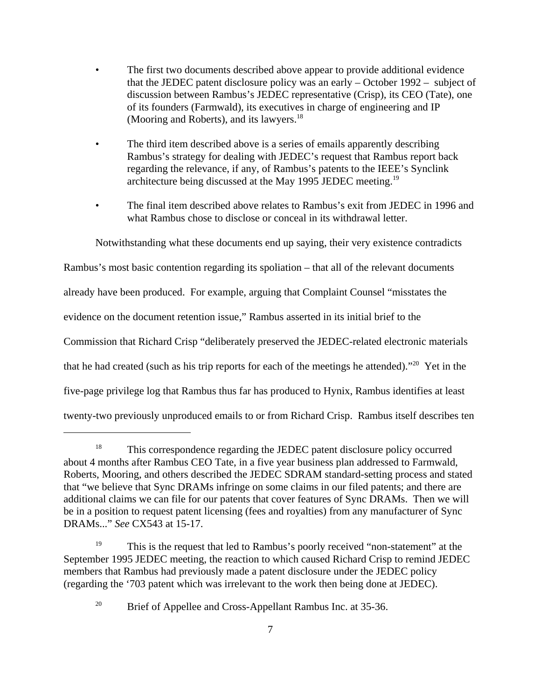- The first two documents described above appear to provide additional evidence that the JEDEC patent disclosure policy was an early – October 1992 – subject of discussion between Rambus's JEDEC representative (Crisp), its CEO (Tate), one of its founders (Farmwald), its executives in charge of engineering and IP (Mooring and Roberts), and its lawyers.<sup>18</sup>
- The third item described above is a series of emails apparently describing Rambus's strategy for dealing with JEDEC's request that Rambus report back regarding the relevance, if any, of Rambus's patents to the IEEE's Synclink architecture being discussed at the May 1995 JEDEC meeting.<sup>19</sup>
- The final item described above relates to Rambus's exit from JEDEC in 1996 and what Rambus chose to disclose or conceal in its withdrawal letter.

Notwithstanding what these documents end up saying, their very existence contradicts

Rambus's most basic contention regarding its spoliation – that all of the relevant documents already have been produced. For example, arguing that Complaint Counsel "misstates the evidence on the document retention issue," Rambus asserted in its initial brief to the Commission that Richard Crisp "deliberately preserved the JEDEC-related electronic materials that he had created (such as his trip reports for each of the meetings he attended)."<sup>20</sup> Yet in the five-page privilege log that Rambus thus far has produced to Hynix, Rambus identifies at least twenty-two previously unproduced emails to or from Richard Crisp. Rambus itself describes ten

<sup>&</sup>lt;sup>18</sup> This correspondence regarding the JEDEC patent disclosure policy occurred about 4 months after Rambus CEO Tate, in a five year business plan addressed to Farmwald, Roberts, Mooring, and others described the JEDEC SDRAM standard-setting process and stated that "we believe that Sync DRAMs infringe on some claims in our filed patents; and there are additional claims we can file for our patents that cover features of Sync DRAMs. Then we will be in a position to request patent licensing (fees and royalties) from any manufacturer of Sync DRAMs..." *See* CX543 at 15-17.

<sup>&</sup>lt;sup>19</sup> This is the request that led to Rambus's poorly received "non-statement" at the September 1995 JEDEC meeting, the reaction to which caused Richard Crisp to remind JEDEC members that Rambus had previously made a patent disclosure under the JEDEC policy (regarding the '703 patent which was irrelevant to the work then being done at JEDEC).

<sup>&</sup>lt;sup>20</sup> Brief of Appellee and Cross-Appellant Rambus Inc. at 35-36.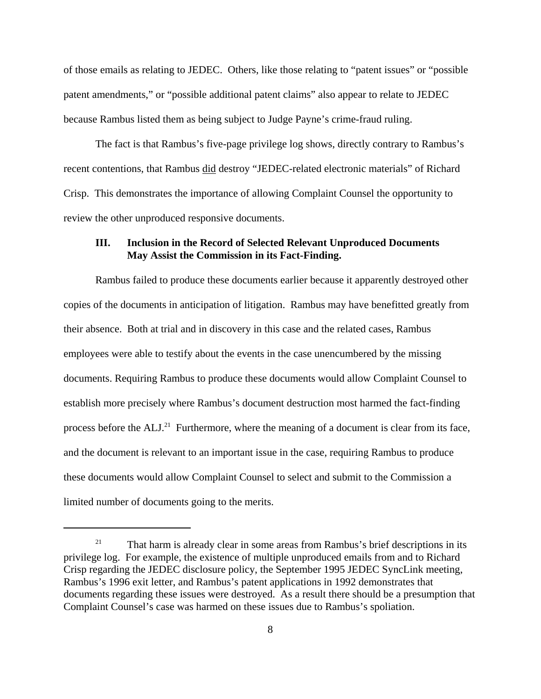of those emails as relating to JEDEC. Others, like those relating to "patent issues" or "possible patent amendments," or "possible additional patent claims" also appear to relate to JEDEC because Rambus listed them as being subject to Judge Payne's crime-fraud ruling.

The fact is that Rambus's five-page privilege log shows, directly contrary to Rambus's recent contentions, that Rambus did destroy "JEDEC-related electronic materials" of Richard Crisp. This demonstrates the importance of allowing Complaint Counsel the opportunity to review the other unproduced responsive documents.

### **III. Inclusion in the Record of Selected Relevant Unproduced Documents May Assist the Commission in its Fact-Finding.**

Rambus failed to produce these documents earlier because it apparently destroyed other copies of the documents in anticipation of litigation. Rambus may have benefitted greatly from their absence. Both at trial and in discovery in this case and the related cases, Rambus employees were able to testify about the events in the case unencumbered by the missing documents. Requiring Rambus to produce these documents would allow Complaint Counsel to establish more precisely where Rambus's document destruction most harmed the fact-finding process before the  $ALJ<sup>21</sup>$  Furthermore, where the meaning of a document is clear from its face, and the document is relevant to an important issue in the case, requiring Rambus to produce these documents would allow Complaint Counsel to select and submit to the Commission a limited number of documents going to the merits.

 $21$  That harm is already clear in some areas from Rambus's brief descriptions in its privilege log. For example, the existence of multiple unproduced emails from and to Richard Crisp regarding the JEDEC disclosure policy, the September 1995 JEDEC SyncLink meeting, Rambus's 1996 exit letter, and Rambus's patent applications in 1992 demonstrates that documents regarding these issues were destroyed. As a result there should be a presumption that Complaint Counsel's case was harmed on these issues due to Rambus's spoliation.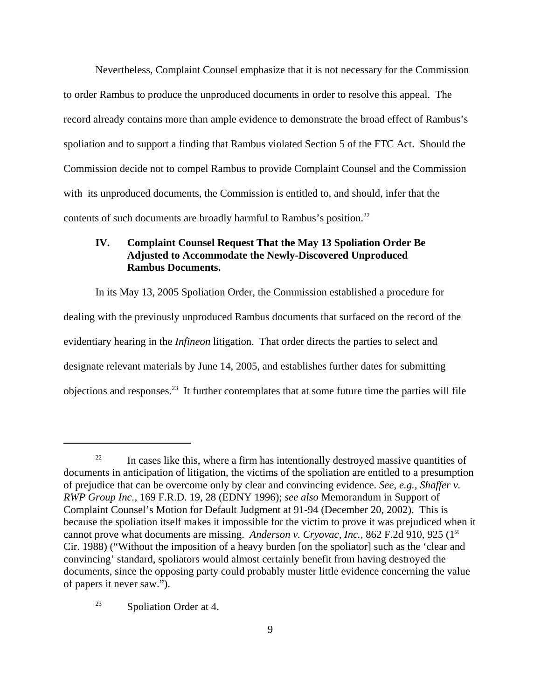Nevertheless, Complaint Counsel emphasize that it is not necessary for the Commission to order Rambus to produce the unproduced documents in order to resolve this appeal. The record already contains more than ample evidence to demonstrate the broad effect of Rambus's spoliation and to support a finding that Rambus violated Section 5 of the FTC Act. Should the Commission decide not to compel Rambus to provide Complaint Counsel and the Commission with its unproduced documents, the Commission is entitled to, and should, infer that the contents of such documents are broadly harmful to Rambus's position.<sup>22</sup>

# **IV. Complaint Counsel Request That the May 13 Spoliation Order Be Adjusted to Accommodate the Newly-Discovered Unproduced Rambus Documents.**

In its May 13, 2005 Spoliation Order, the Commission established a procedure for dealing with the previously unproduced Rambus documents that surfaced on the record of the evidentiary hearing in the *Infineon* litigation. That order directs the parties to select and designate relevant materials by June 14, 2005, and establishes further dates for submitting objections and responses.23 It further contemplates that at some future time the parties will file

<sup>&</sup>lt;sup>22</sup> In cases like this, where a firm has intentionally destroyed massive quantities of documents in anticipation of litigation, the victims of the spoliation are entitled to a presumption of prejudice that can be overcome only by clear and convincing evidence. *See, e.g., Shaffer v. RWP Group Inc.,* 169 F.R.D. 19, 28 (EDNY 1996); *see also* Memorandum in Support of Complaint Counsel's Motion for Default Judgment at 91-94 (December 20, 2002). This is because the spoliation itself makes it impossible for the victim to prove it was prejudiced when it cannot prove what documents are missing. *Anderson v. Cryovac, Inc.*, 862 F.2d 910, 925 (1<sup>st</sup>) Cir. 1988) ("Without the imposition of a heavy burden [on the spoliator] such as the 'clear and convincing' standard, spoliators would almost certainly benefit from having destroyed the documents, since the opposing party could probably muster little evidence concerning the value of papers it never saw.").

<sup>23</sup> Spoliation Order at 4.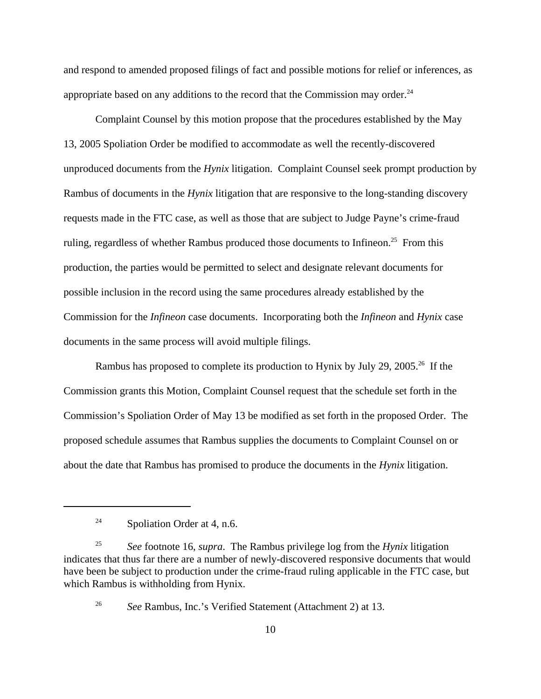and respond to amended proposed filings of fact and possible motions for relief or inferences, as appropriate based on any additions to the record that the Commission may order.<sup>24</sup>

Complaint Counsel by this motion propose that the procedures established by the May 13, 2005 Spoliation Order be modified to accommodate as well the recently-discovered unproduced documents from the *Hynix* litigation. Complaint Counsel seek prompt production by Rambus of documents in the *Hynix* litigation that are responsive to the long-standing discovery requests made in the FTC case, as well as those that are subject to Judge Payne's crime-fraud ruling, regardless of whether Rambus produced those documents to Infineon.<sup>25</sup> From this production, the parties would be permitted to select and designate relevant documents for possible inclusion in the record using the same procedures already established by the Commission for the *Infineon* case documents. Incorporating both the *Infineon* and *Hynix* case documents in the same process will avoid multiple filings.

Rambus has proposed to complete its production to Hynix by July 29, 2005.<sup>26</sup> If the Commission grants this Motion, Complaint Counsel request that the schedule set forth in the Commission's Spoliation Order of May 13 be modified as set forth in the proposed Order. The proposed schedule assumes that Rambus supplies the documents to Complaint Counsel on or about the date that Rambus has promised to produce the documents in the *Hynix* litigation.

<sup>&</sup>lt;sup>24</sup> Spoliation Order at 4, n.6.

<sup>25</sup> *See* footnote 16, *supra*. The Rambus privilege log from the *Hynix* litigation indicates that thus far there are a number of newly-discovered responsive documents that would have been be subject to production under the crime-fraud ruling applicable in the FTC case, but which Rambus is withholding from Hynix.

<sup>26</sup> *See* Rambus, Inc.'s Verified Statement (Attachment 2) at 13.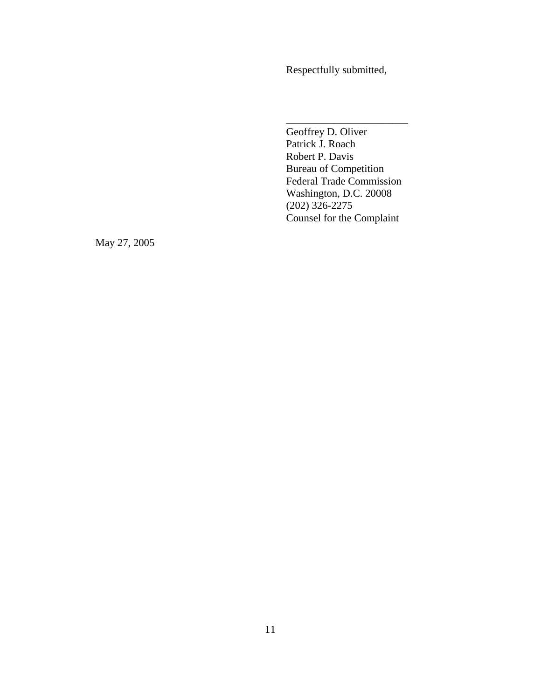Respectfully submitted,

Geoffrey D. Oliver Patrick J. Roach Robert P. Davis Bureau of Competition Federal Trade Commission Washington, D.C. 20008 (202) 326-2275 Counsel for the Complaint

\_\_\_\_\_\_\_\_\_\_\_\_\_\_\_\_\_\_\_\_\_\_\_

May 27, 2005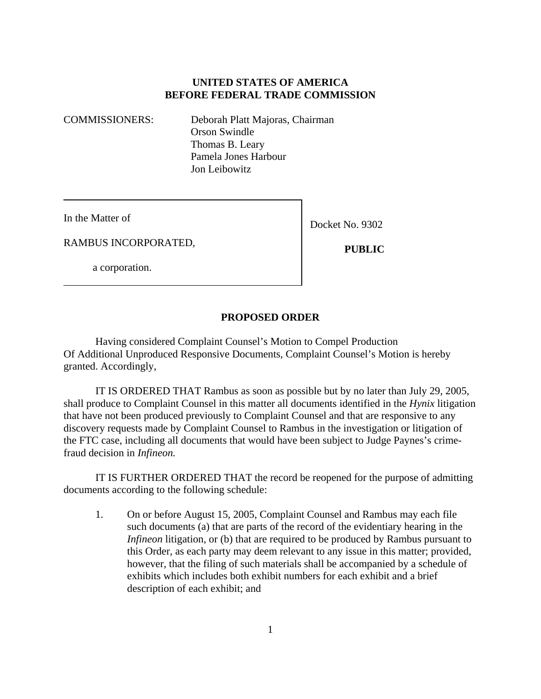# **UNITED STATES OF AMERICA BEFORE FEDERAL TRADE COMMISSION**

COMMISSIONERS: Deborah Platt Majoras, Chairman Orson Swindle Thomas B. Leary Pamela Jones Harbour Jon Leibowitz

In the Matter of

Docket No. 9302

RAMBUS INCORPORATED,

a corporation.

 **PUBLIC**

### **PROPOSED ORDER**

Having considered Complaint Counsel's Motion to Compel Production Of Additional Unproduced Responsive Documents, Complaint Counsel's Motion is hereby granted. Accordingly,

IT IS ORDERED THAT Rambus as soon as possible but by no later than July 29, 2005, shall produce to Complaint Counsel in this matter all documents identified in the *Hynix* litigation that have not been produced previously to Complaint Counsel and that are responsive to any discovery requests made by Complaint Counsel to Rambus in the investigation or litigation of the FTC case, including all documents that would have been subject to Judge Paynes's crimefraud decision in *Infineon.*

IT IS FURTHER ORDERED THAT the record be reopened for the purpose of admitting documents according to the following schedule:

1. On or before August 15, 2005, Complaint Counsel and Rambus may each file such documents (a) that are parts of the record of the evidentiary hearing in the *Infineon* litigation, or (b) that are required to be produced by Rambus pursuant to this Order, as each party may deem relevant to any issue in this matter; provided, however, that the filing of such materials shall be accompanied by a schedule of exhibits which includes both exhibit numbers for each exhibit and a brief description of each exhibit; and